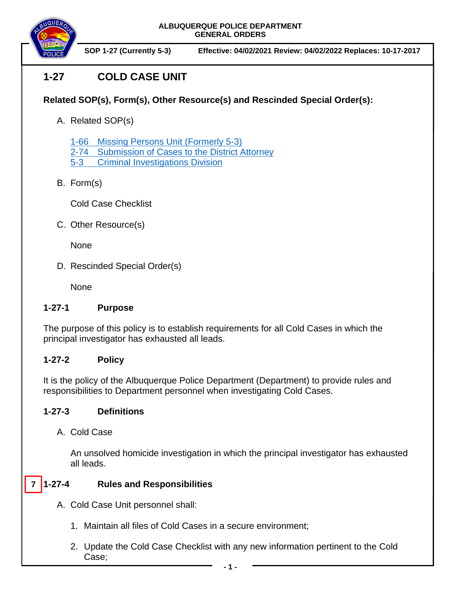

**SOP 1-27 (Currently 5-3) Effective: 04/02/2021 Review: 04/02/2022 Replaces: 10-17-2017**

# **1-27 COLD CASE UNIT**

## **Related SOP(s), Form(s), Other Resource(s) and Rescinded Special Order(s):**

A. Related SOP(s)

1-66 [Missing Persons Unit \(Formerly 5-3\)](https://powerdms.com/docs/2020417)

- [2-74 Submission of Cases to the District Attorney](https://powerdms.com/docs/122)
- 5-3 [Criminal Investigations Division](https://powerdms.com/docs/147)
- B. Form(s)

Cold Case Checklist

C. Other Resource(s)

None

D. Rescinded Special Order(s)

None

### **1-27-1 Purpose**

The purpose of this policy is to establish requirements for all Cold Cases in which the principal investigator has exhausted all leads.

### **1-27-2 Policy**

It is the policy of the Albuquerque Police Department (Department) to provide rules and responsibilities to Department personnel when investigating Cold Cases.

### **1-27-3 Definitions**

A. Cold Case

An unsolved homicide investigation in which the principal investigator has exhausted all leads.

#### **1-27-4 Rules and Responsibilities 7**

- A. Cold Case Unit personnel shall:
	- 1. Maintain all files of Cold Cases in a secure environment;
	- 2. Update the Cold Case Checklist with any new information pertinent to the Cold Case;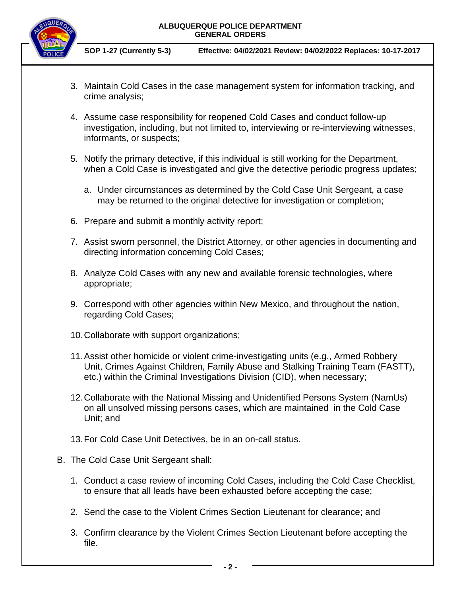**ALBUQUERQUE POLICE DEPARTMENT GENERAL ORDERS**



**SOP 1-27 (Currently 5-3) Effective: 04/02/2021 Review: 04/02/2022 Replaces: 10-17-2017**

- 3. Maintain Cold Cases in the case management system for information tracking, and crime analysis;
- 4. Assume case responsibility for reopened Cold Cases and conduct follow-up investigation, including, but not limited to, interviewing or re-interviewing witnesses, informants, or suspects;
- 5. Notify the primary detective, if this individual is still working for the Department, when a Cold Case is investigated and give the detective periodic progress updates;
	- a. Under circumstances as determined by the Cold Case Unit Sergeant, a case may be returned to the original detective for investigation or completion;
- 6. Prepare and submit a monthly activity report;
- 7. Assist sworn personnel, the District Attorney, or other agencies in documenting and directing information concerning Cold Cases;
- 8. Analyze Cold Cases with any new and available forensic technologies, where appropriate;
- 9. Correspond with other agencies within New Mexico, and throughout the nation, regarding Cold Cases;
- 10.Collaborate with support organizations;
- 11.Assist other homicide or violent crime-investigating units (e.g., Armed Robbery Unit, Crimes Against Children, Family Abuse and Stalking Training Team (FASTT), etc.) within the Criminal Investigations Division (CID), when necessary;
- 12.Collaborate with the National Missing and Unidentified Persons System (NamUs) on all unsolved missing persons cases, which are maintained in the Cold Case Unit; and
- 13.For Cold Case Unit Detectives, be in an on-call status.
- B. The Cold Case Unit Sergeant shall:
	- 1. Conduct a case review of incoming Cold Cases, including the Cold Case Checklist, to ensure that all leads have been exhausted before accepting the case;
	- 2. Send the case to the Violent Crimes Section Lieutenant for clearance; and
	- 3. Confirm clearance by the Violent Crimes Section Lieutenant before accepting the file.